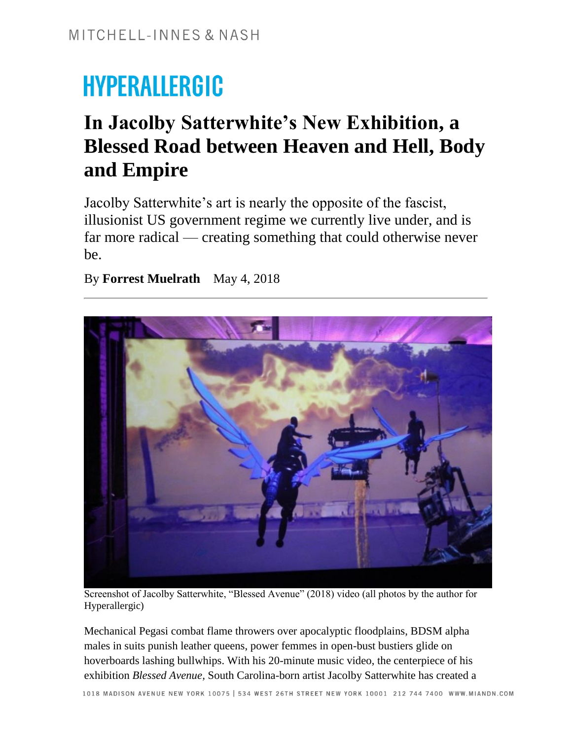# **HYPERALLERGIC**

# **In Jacolby Satterwhite's New Exhibition, a Blessed Road between Heaven and Hell, Body and Empire**

Jacolby Satterwhite's art is nearly the opposite of the fascist, illusionist US government regime we currently live under, and is far more radical — creating something that could otherwise never be.

By **Forrest Muelrath** May 4, 2018



Screenshot of Jacolby Satterwhite, "Blessed Avenue" (2018) video (all photos by the author for Hyperallergic)

Mechanical Pegasi combat flame throwers over apocalyptic floodplains, BDSM alpha males in suits punish leather queens, power femmes in open-bust bustiers glide on hoverboards lashing bullwhips. With his 20-minute music video, the centerpiece of his exhibition *Blessed Avenue,* South Carolina-born artist Jacolby Satterwhite has created a

1018 MADISON AVENUE NEW YORK 10075 | 534 WEST 26TH STREET NEW YORK 10001 212 744 7400 WWW.MIANDN.COM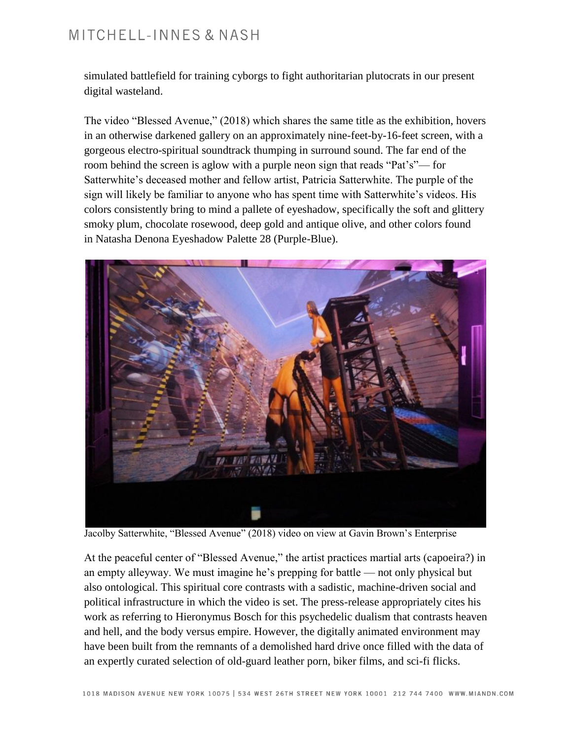#### MITCHELL-INNES & NASH

simulated battlefield for training cyborgs to fight authoritarian plutocrats in our present digital wasteland.

The video "Blessed Avenue," (2018) which shares the same title as the exhibition, hovers in an otherwise darkened gallery on an approximately nine-feet-by-16-feet screen, with a gorgeous electro-spiritual soundtrack thumping in surround sound. The far end of the room behind the screen is aglow with a purple neon sign that reads "Pat's"— for Satterwhite's deceased mother and fellow artist, Patricia Satterwhite. The purple of the sign will likely be familiar to anyone who has spent time with Satterwhite's videos. His colors consistently bring to mind a pallete of eyeshadow, specifically the soft and glittery smoky plum, chocolate rosewood, deep gold and antique olive, and other colors found in Natasha Denona Eyeshadow Palette 28 (Purple-Blue).



Jacolby Satterwhite, "Blessed Avenue" (2018) video on view at Gavin Brown's Enterprise

At the peaceful center of "Blessed Avenue," the artist practices martial arts (capoeira?) in an empty alleyway. We must imagine he's prepping for battle — not only physical but also ontological. This spiritual core contrasts with a sadistic, machine-driven social and political infrastructure in which the video is set. The press-release appropriately cites his work as referring to Hieronymus Bosch for this psychedelic dualism that contrasts heaven and hell, and the body versus empire. However, the digitally animated environment may have been built from the remnants of a demolished hard drive once filled with the data of an expertly curated selection of old-guard leather porn, biker films, and sci-fi flicks.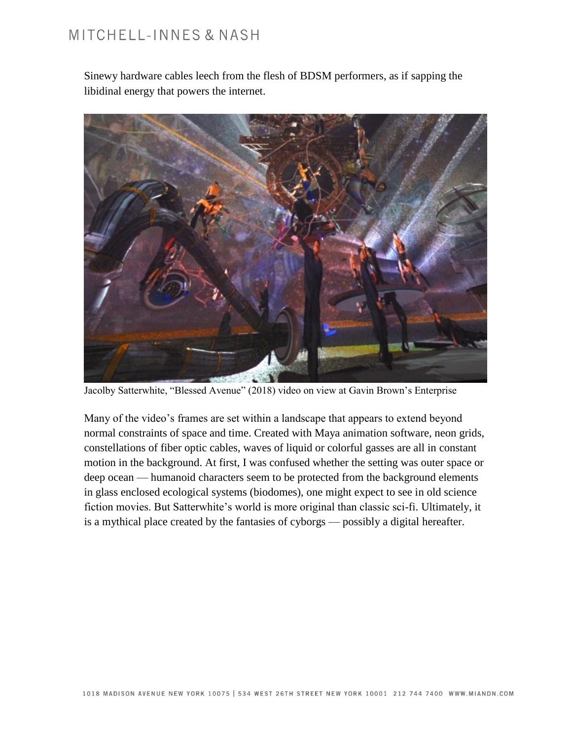## MITCHELL-INNES & NASH

Sinewy hardware cables leech from the flesh of BDSM performers, as if sapping the libidinal energy that powers the internet.



Jacolby Satterwhite, "Blessed Avenue" (2018) video on view at Gavin Brown's Enterprise

Many of the video's frames are set within a landscape that appears to extend beyond normal constraints of space and time. Created with Maya animation software, neon grids, constellations of fiber optic cables, waves of liquid or colorful gasses are all in constant motion in the background. At first, I was confused whether the setting was outer space or deep ocean — humanoid characters seem to be protected from the background elements in glass enclosed ecological systems (biodomes), one might expect to see in old science fiction movies. But Satterwhite's world is more original than classic sci-fi. Ultimately, it is a mythical place created by the fantasies of cyborgs — possibly a digital hereafter.